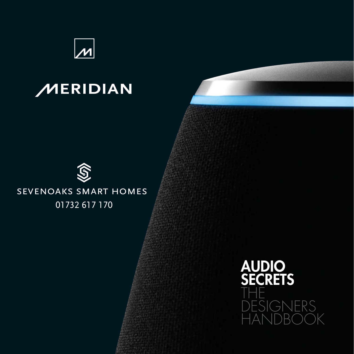

## MERIDIAN

## sevenoaks smart homes 01732 617 170

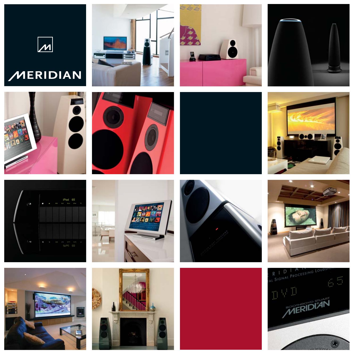

# MERIDIAN





























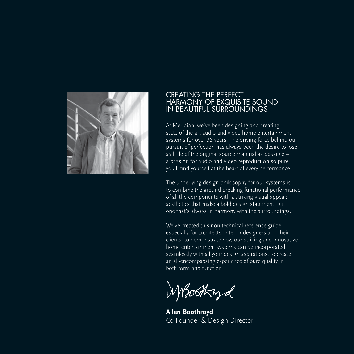

#### CREATING THE PERFECT HARMONY OF EXQUISITE SOUND IN BEAUTIFUL SURROUNDINGS

At Meridian, we've been designing and creating state-of-the-art audio and video home entertainment systems for over 35 years. The driving force behind our pursuit of perfection has always been the desire to lose as little of the original source material as possible – a passion for audio and video reproduction so pure you'll find yourself at the heart of every performance.

The underlying design philosophy for our systems is to combine the ground-breaking functional performance of all the components with a striking visual appeal; aesthetics that make a bold design statement, but one that's always in harmony with the surroundings.

We've created this non-technical reference guide especially for architects, interior designers and their clients, to demonstrate how our striking and innovative home entertainment systems can be incorporated seamlessly with all your design aspirations, to create an all-encompassing experience of pure quality in both form and function.

Wysosthyd

**Allen Boothroyd** Co-Founder & Design Director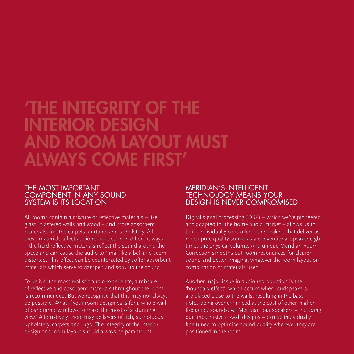# **THE INTEGRITY OF THE INTERIOR DESIGN AND ROOM LAYOUT MUST ALWAYS COME FIRST'**

#### THE MOST IMPORTANT COMPONENT IN ANY SOUND SYSTEM IS ITS LOCATION

All rooms contain a mixture of reflective materials  $-$  like glass, plastered walls and wood – and more absorbent materials, like the carpets, curtains and upholstery. All these materials affect audio reproduction in different ways  $-$  the hard reflective materials reflect the sound around the space and can cause the audio to 'ring' like a bell and seem distorted. This effect can be counteracted by softer absorbent materials which serve to dampen and soak up the sound.

To deliver the most realistic audio experience, a mixture of reflective and absorbent materials throughout the room is recommended. But we recognise that this may not always be possible. What if your room design calls for a whole wall of panoramic windows to make the most of a stunning view? Alternatively, there may be layers of rich, sumptuous upholstery, carpets and rugs. The integrity of the interior design and room layout should always be paramount.

#### MERIDIAN'S INTELLIGENT TECHNOLOGY MEANS YOUR DESIGN IS NEVER COMPROMISED

Digital signal processing (DSP) – which we've pioneered and adapted for the home audio market – allows us to build individually-controlled loudspeakers that deliver as much pure quality sound as a conventional speaker eight times the physical volume. And unique Meridian Room Correction smooths out room resonances for clearer sound and better imaging, whatever the room layout or combination of materials used.

Another major issue in audio reproduction is the 'boundary effect', which occurs when loudspeakers are placed close to the walls, resulting in the bass notes being over-enhanced at the cost of other, higherfrequency sounds. All Meridian loudspeakers – including our unobtrusive in-wall designs – can be individually fine-tuned to optimise sound quality wherever they are positioned in the room.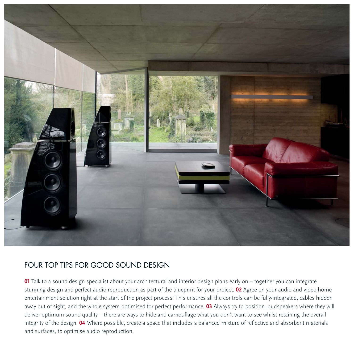

### FOUR TOP TIPS FOR GOOD SOUND DESIGN

**01** Talk to a sound design specialist about your architectural and interior design plans early on – together you can integrate stunning design and perfect audio reproduction as part of the blueprint for your project. **02** Agree on your audio and video home entertainment solution right at the start of the project process. This ensures all the controls can be fully-integrated, cables hidden away out of sight, and the whole system optimised for perfect performance. **03** Always try to position loudspeakers where they will deliver optimum sound quality – there are ways to hide and camouflage what you don't want to see whilst retaining the overall integrity of the design. 04 Where possible, create a space that includes a balanced mixture of reflective and absorbent materials and surfaces, to optimise audio reproduction.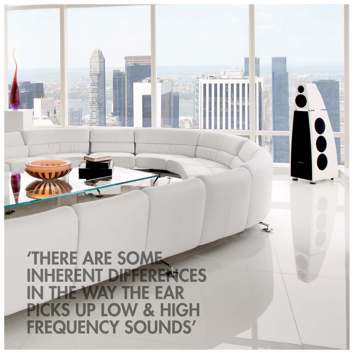**'THERE ARE SOME INHERENT DIFFERENCES** IN THE WAY THE EAR PICKS UP LOW & HIGH **FREQUENCY SOUNDS'**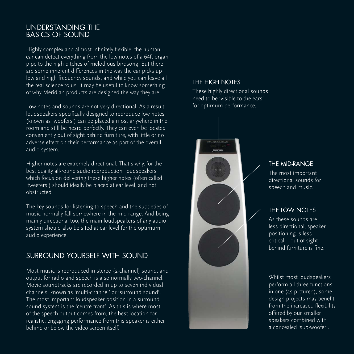#### UNDERSTANDING THE BASICS OF SOUND

Highly complex and almost infinitely flexible, the human ear can detect everything from the low notes of a 64ft organ pipe to the high pitches of melodious birdsong. But there are some inherent differences in the way the ear picks up low and high frequency sounds, and while you can leave all the real science to us, it may be useful to know something of why Meridian products are designed the way they are.

Low notes and sounds are not very directional. As a result, loudspeakers specifically designed to reproduce low notes (known as 'woofers') can be placed almost anywhere in the room and still be heard perfectly. They can even be located conveniently out of sight behind furniture, with little or no adverse effect on their performance as part of the overall audio system.

Higher notes are extremely directional. That's why, for the best quality all-round audio reproduction, loudspeakers which focus on delivering these higher notes (often called 'tweeters') should ideally be placed at ear level, and not obstructed.

The key sounds for listening to speech and the subtleties of music normally fall somewhere in the mid-range. And being mainly directional too, the main loudspeakers of any audio system should also be sited at ear level for the optimum audio experience.

## SURROUND YOURSELF WITH SOUND

Most music is reproduced in stereo (2-channel) sound, and output for radio and speech is also normally two-channel. Movie soundtracks are recorded in up to seven individual channels, known as 'multi-channel' or 'surround sound'. The most important loudspeaker position in a surround sound system is the 'centre front'. As this is where most of the speech output comes from, the best location for realistic, engaging performance from this speaker is either behind or below the video screen itself.

#### THE HIGH NOTES

These highly directional sounds need to be 'visible to the ears' for optimum performance.



THE MID-RANGE

The most important directional sounds for speech and music.

#### THE LOW NOTES

As these sounds are less directional, speaker positioning is less critical – out of sight behind furniture is fine

Whilst most loudspeakers perform all three functions in one (as pictured), some design projects may benefit from the increased flexibility offered by our smaller speakers combined with a concealed 'sub-woofer'.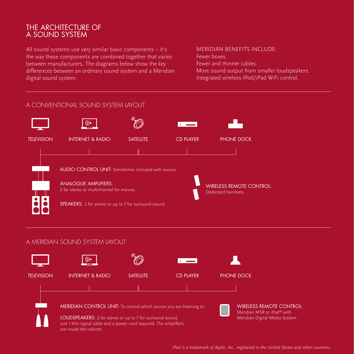#### THE ARCHITECTURE OF A SOUND SYSTEM

All sound systems use very similar basic components – it's the way these components are combined together that varies between manufacturers. The diagrams below show the key differences between an ordinary sound system and a Meridian digital sound system.

#### MERIDIAN BENEFITS INCLUDE:

Fewer boxes. Fewer and thinner cables. More sound output from smaller loudspeakers. Integrated wireless iPod/iPad WiFi control.



#### A MERIDIAN SOUND SYSTEM LAYOUT

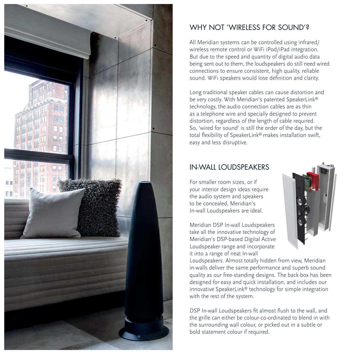

## WHY NOT 'WIRFIESS FOR SOUND'?

All Meridian systems can be controlled using infrared/ wireless remote control or WiFi iPod/iPad integration. But due to the speed and quantity of digital audio data being sent out to them, the loudspeakers do still need wired connections to ensure consistent, high quality, reliable sound. WiFi speakers would lose definition and clarity.

Long traditional speaker cables can cause distortion and be very costly. With Meridian's patented SpeakerLink® technology, the audio connection cables are as thin as a telephone wire and specially designed to prevent distortion, regardless of the length of cable required. So, 'wired for sound' is still the order of the day, but the total flexibility of SpeakerLink® makes installation swift, easy and less disruptive.

### IN-WALL LOUDSPEAKERS

For smaller room sizes, or if your interior design ideas require the audio system and speakers to be concealed, Meridian's In-wall Loudspeakers are ideal.

Meridian DSP In-wall Loudspeakers take all the innovative technology of Meridian's DSP-based Digital Active Loudspeaker range and incorporate it into a range of neat In-wall



Loudspeakers. Almost totally hidden from view, Meridian in-walls deliver the same performance and superb sound quality as our free-standing designs. The back-box has been designed for easy and quick installation, and includes our innovative SpeakerLink® technology for simple integration with the rest of the system.

DSP In-wall Loudspeakers fit almost flush to the wall, and the grille can either be colour-co-ordinated to blend in with the surrounding wall colour, or picked out in a subtle or bold statement colour if required.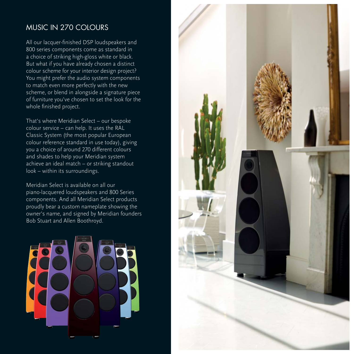## MUSIC IN 270 COLOURS

All our lacquer-finished DSP loudspeakers and 800 series components come as standard in a choice of striking high-gloss white or black. But what if you have already chosen a distinct colour scheme for your interior design project? You might prefer the audio system components to match even more perfectly with the new scheme, or blend in alongside a signature piece of furniture you've chosen to set the look for the whole finished project.

That's where Meridian Select – our bespoke colour service – can help. It uses the RAL Classic System (the most popular European colour reference standard in use today), giving you a choice of around 270 different colours and shades to help your Meridian system achieve an ideal match – or striking standout look – within its surroundings.

Meridian Select is available on all our piano-lacquered loudspeakers and 800 Series components. And all Meridian Select products proudly bear a custom nameplate showing the owner's name, and signed by Meridian founders Bob Stuart and Allen Boothroyd.



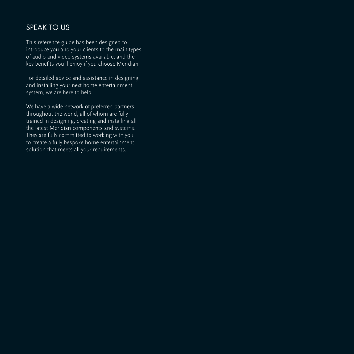## SPEAK TO US

This reference guide has been designed to introduce you and your clients to the main types of audio and video systems available, and the key benefits you'll enjoy if you choose Meridian.

For detailed advice and assistance in designing and installing your next home entertainment system, we are here to help.

We have a wide network of preferred partners throughout the world, all of whom are fully trained in designing, creating and installing all the latest Meridian components and systems. They are fully committed to working with you to create a fully bespoke home entertainment solution that meets all your requirements.